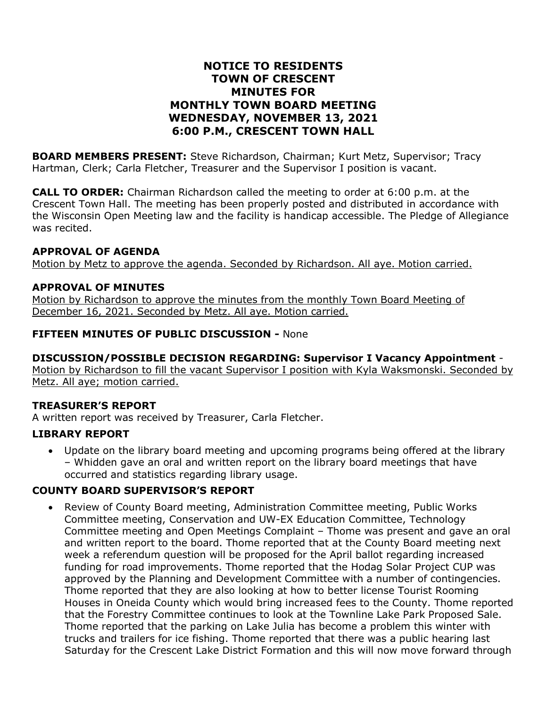### **NOTICE TO RESIDENTS TOWN OF CRESCENT MINUTES FOR MONTHLY TOWN BOARD MEETING WEDNESDAY, NOVEMBER 13, 2021 6:00 P.M., CRESCENT TOWN HALL**

**BOARD MEMBERS PRESENT:** Steve Richardson, Chairman; Kurt Metz, Supervisor; Tracy Hartman, Clerk; Carla Fletcher, Treasurer and the Supervisor I position is vacant.

**CALL TO ORDER:** Chairman Richardson called the meeting to order at 6:00 p.m. at the Crescent Town Hall. The meeting has been properly posted and distributed in accordance with the Wisconsin Open Meeting law and the facility is handicap accessible. The Pledge of Allegiance was recited.

### **APPROVAL OF AGENDA**

Motion by Metz to approve the agenda. Seconded by Richardson. All aye. Motion carried.

### **APPROVAL OF MINUTES**

Motion by Richardson to approve the minutes from the monthly Town Board Meeting of December 16, 2021. Seconded by Metz. All aye. Motion carried.

### **FIFTEEN MINUTES OF PUBLIC DISCUSSION -** None

### **DISCUSSION/POSSIBLE DECISION REGARDING: Supervisor I Vacancy Appointment** -

Motion by Richardson to fill the vacant Supervisor I position with Kyla Waksmonski. Seconded by Metz. All aye; motion carried.

#### **TREASURER'S REPORT**

A written report was received by Treasurer, Carla Fletcher.

### **LIBRARY REPORT**

• Update on the library board meeting and upcoming programs being offered at the library – Whidden gave an oral and written report on the library board meetings that have occurred and statistics regarding library usage.

### **COUNTY BOARD SUPERVISOR'S REPORT**

• Review of County Board meeting, Administration Committee meeting, Public Works Committee meeting, Conservation and UW-EX Education Committee, Technology Committee meeting and Open Meetings Complaint – Thome was present and gave an oral and written report to the board. Thome reported that at the County Board meeting next week a referendum question will be proposed for the April ballot regarding increased funding for road improvements. Thome reported that the Hodag Solar Project CUP was approved by the Planning and Development Committee with a number of contingencies. Thome reported that they are also looking at how to better license Tourist Rooming Houses in Oneida County which would bring increased fees to the County. Thome reported that the Forestry Committee continues to look at the Townline Lake Park Proposed Sale. Thome reported that the parking on Lake Julia has become a problem this winter with trucks and trailers for ice fishing. Thome reported that there was a public hearing last Saturday for the Crescent Lake District Formation and this will now move forward through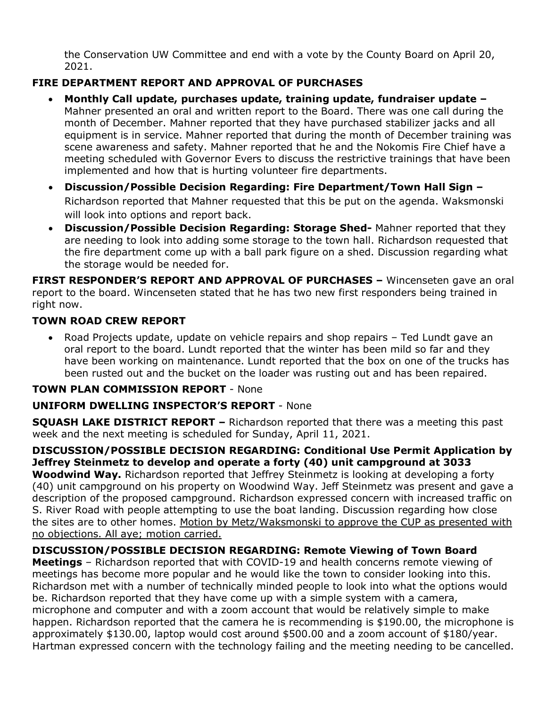the Conservation UW Committee and end with a vote by the County Board on April 20, 2021.

# **FIRE DEPARTMENT REPORT AND APPROVAL OF PURCHASES**

- **Monthly Call update, purchases update, training update, fundraiser update –** Mahner presented an oral and written report to the Board. There was one call during the month of December. Mahner reported that they have purchased stabilizer jacks and all equipment is in service. Mahner reported that during the month of December training was scene awareness and safety. Mahner reported that he and the Nokomis Fire Chief have a meeting scheduled with Governor Evers to discuss the restrictive trainings that have been implemented and how that is hurting volunteer fire departments.
- **Discussion/Possible Decision Regarding: Fire Department/Town Hall Sign –** Richardson reported that Mahner requested that this be put on the agenda. Waksmonski will look into options and report back.
- **Discussion/Possible Decision Regarding: Storage Shed-** Mahner reported that they are needing to look into adding some storage to the town hall. Richardson requested that the fire department come up with a ball park figure on a shed. Discussion regarding what the storage would be needed for.

**FIRST RESPONDER'S REPORT AND APPROVAL OF PURCHASES –** Wincenseten gave an oral report to the board. Wincenseten stated that he has two new first responders being trained in right now.

## **TOWN ROAD CREW REPORT**

• Road Projects update, update on vehicle repairs and shop repairs – Ted Lundt gave an oral report to the board. Lundt reported that the winter has been mild so far and they have been working on maintenance. Lundt reported that the box on one of the trucks has been rusted out and the bucket on the loader was rusting out and has been repaired.

### **TOWN PLAN COMMISSION REPORT** - None

## **UNIFORM DWELLING INSPECTOR'S REPORT** - None

**SQUASH LAKE DISTRICT REPORT –** Richardson reported that there was a meeting this past week and the next meeting is scheduled for Sunday, April 11, 2021.

**DISCUSSION/POSSIBLE DECISION REGARDING: Conditional Use Permit Application by Jeffrey Steinmetz to develop and operate a forty (40) unit campground at 3033**

**Woodwind Way.** Richardson reported that Jeffrey Steinmetz is looking at developing a forty (40) unit campground on his property on Woodwind Way. Jeff Steinmetz was present and gave a description of the proposed campground. Richardson expressed concern with increased traffic on S. River Road with people attempting to use the boat landing. Discussion regarding how close the sites are to other homes. Motion by Metz/Waksmonski to approve the CUP as presented with no objections. All aye; motion carried.

## **DISCUSSION/POSSIBLE DECISION REGARDING: Remote Viewing of Town Board**

**Meetings** – Richardson reported that with COVID-19 and health concerns remote viewing of meetings has become more popular and he would like the town to consider looking into this. Richardson met with a number of technically minded people to look into what the options would be. Richardson reported that they have come up with a simple system with a camera, microphone and computer and with a zoom account that would be relatively simple to make happen. Richardson reported that the camera he is recommending is \$190.00, the microphone is approximately \$130.00, laptop would cost around \$500.00 and a zoom account of \$180/year. Hartman expressed concern with the technology failing and the meeting needing to be cancelled.